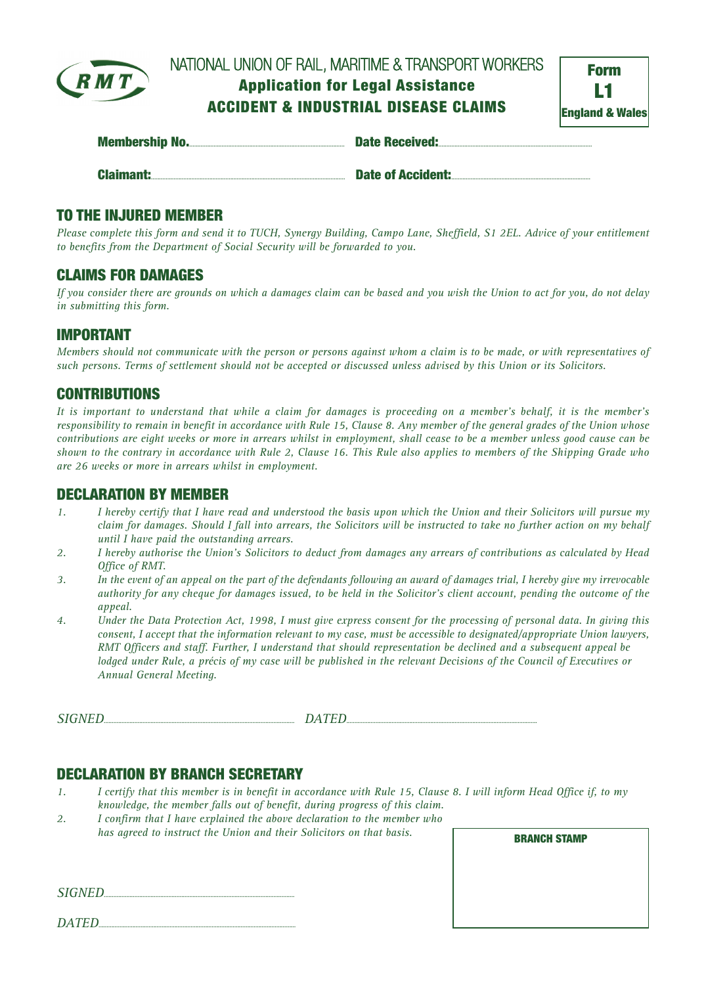

# NATIONAL UNION OF RAIL, MARITIME & TRANSPORT WORKERS **AppIication for Legal Assistance ACCIDENT & INDUSTRIAL DISEASE CLAIMS**

| <b>Form</b>                |  |  |
|----------------------------|--|--|
| ш                          |  |  |
| <b>England &amp; Wales</b> |  |  |

|                  | <b>Date Received:</b>    |
|------------------|--------------------------|
| <b>Claimant:</b> | <b>Date of Accident:</b> |

### **TO THE INJURED MEMBER**

Please complete this form and send it to TUCH, Synergy Building, Campo Lane, Sheffield, S1 2EL. Advice of your entitlement *to benefits from the Department of Social Security will be forwarded to you.*

#### **CLAIMS FOR DAMAGES**

If you consider there are grounds on which a damages claim can be based and you wish the Union to act for you, do not delay *in submitting this form.*

### **IMPORTANT**

Members should not communicate with the person or persons against whom a claim is to be made, or with representatives of such persons. Terms of settlement should not be accepted or discussed unless advised by this Union or its Solicitors.

## **CONTRIBUTIONS**

It is important to understand that while a claim for damages is proceeding on a member's behalf, it is the member's responsibility to remain in benefit in accordance with Rule 15, Clause 8. Any member of the general grades of the Union whose contributions are eight weeks or more in arrears whilst in employment, shall cease to be a member unless good cause can be shown to the contrary in accordance with Rule 2, Clause 16. This Rule also applies to members of the Shipping Grade who *are 26 weeks or more in arrears whilst in employment.*

#### **DECLARATION BY MEMBER**

- 1. I hereby certify that I have read and understood the basis upon which the Union and their Solicitors will pursue my claim for damages. Should I fall into arrears, the Solicitors will be instructed to take no further action on my behalf *until I have paid the outstanding arrears.*
- 2. I hereby authorise the Union's Solicitors to deduct from damages any arrears of contributions as calculated by Head *Office of RMT.*
- 3. In the event of an appeal on the part of the defendants following an award of damages trial, I hereby give my irrevocable authority for any cheque for damages issued, to be held in the Solicitor's client account, pending the outcome of the *appeal.*
- 4. Under the Data Protection Act, 1998, I must give express consent for the processing of personal data. In giving this consent, I accept that the information relevant to my case, must be accessible to designated/appropriate Union lawyers, RMT Officers and staff. Further, I understand that should representation be declined and a subsequent appeal be lodged under Rule, a précis of my case will be published in the relevant Decisions of the Council of Executives or *Annual General Meeting.*

SIGNED

#### **DECLARATION BY BRANCH SECRETARY**

- 1. I certify that this member is in benefit in accordance with Rule 15, Clause 8. I will inform Head Office if, to my *knowledge, the member falls out of benefit, during progress of this claim.*
- *2. I confirm that I have explained the above declaration to the member who has agreed to instruct the Union and their Solicitors on that basis.*

**BRANCH STAMP**

*SIGNED*......................................................................................................................

*DATED*..........................................................................................................................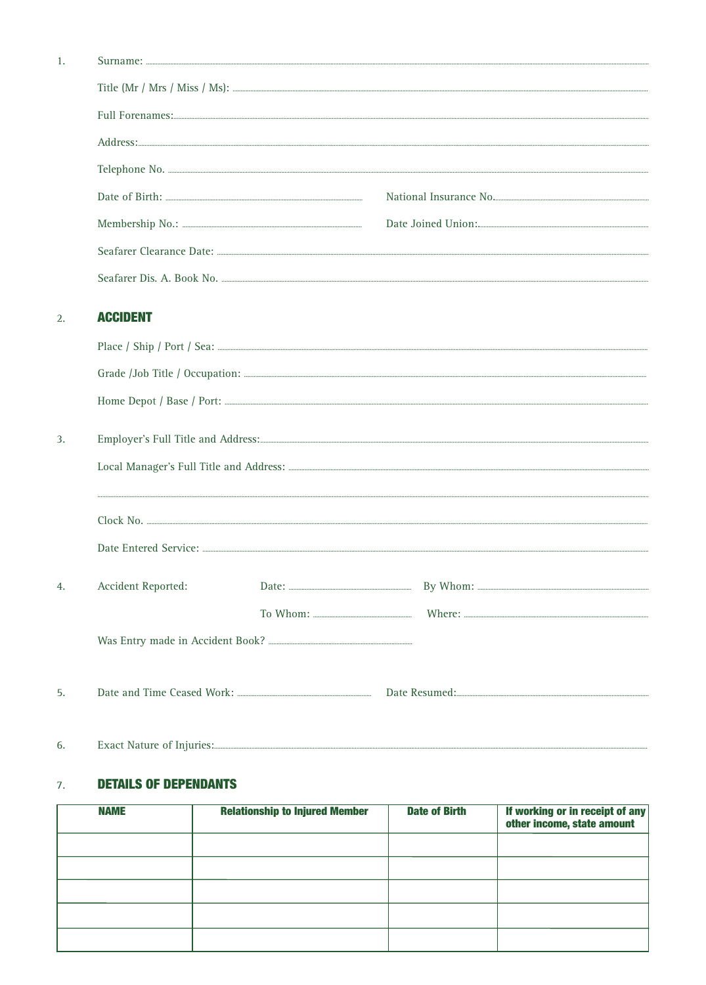| <b>ACCIDENT</b>                         |  |
|-----------------------------------------|--|
|                                         |  |
|                                         |  |
|                                         |  |
|                                         |  |
| Local Manager's Full Title and Address: |  |

| 4. | <b>Accident Reported:</b> |  |  |  |
|----|---------------------------|--|--|--|
|    |                           |  |  |  |
|    |                           |  |  |  |
| 5. |                           |  |  |  |

#### 6.

 $\overline{1}$ .

 $\overline{2}$ .

 $\overline{3}$ .

#### **DETAILS OF DEPENDANTS**  $7.$

| <b>NAME</b> | <b>Relationship to Injured Member</b> | <b>Date of Birth</b> | If working or in receipt of any<br>other income, state amount |
|-------------|---------------------------------------|----------------------|---------------------------------------------------------------|
|             |                                       |                      |                                                               |
|             |                                       |                      |                                                               |
|             |                                       |                      |                                                               |
|             |                                       |                      |                                                               |
|             |                                       |                      |                                                               |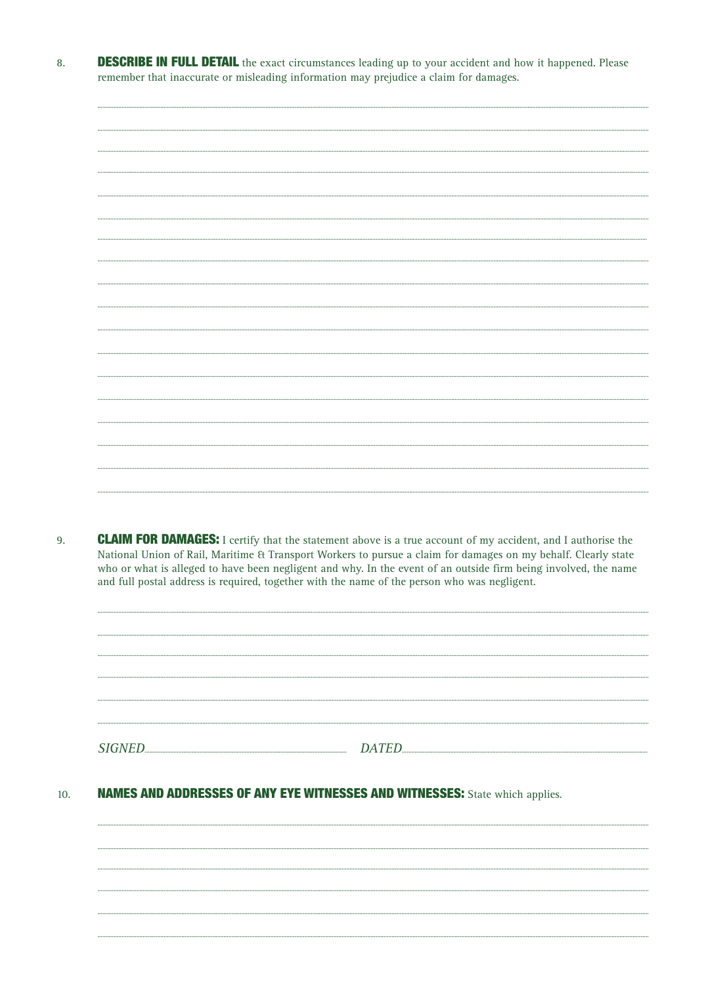**DESCRIBE IN FULL DETAIL** the exact circumstances leading up to your accident and how it happened. Please 8. remember that inaccurate or misleading information may prejudice a claim for damages.

9. **CLAIM FOR DAMAGES:** I certify that the statement above is a true account of my accident, and I authorise the National Union of Rail, Maritime & Transport Workers to pursue a claim for damages on my behalf. Clearly state who or what is alleged to have been negligent and why. In the event of an outside firm being involved, the name and full postal address is required, together with the name of the person who was negligent.



#### **NAMES AND ADDRESSES OF ANY EYE WITNESSES AND WITNESSES:** State which applies. 10.